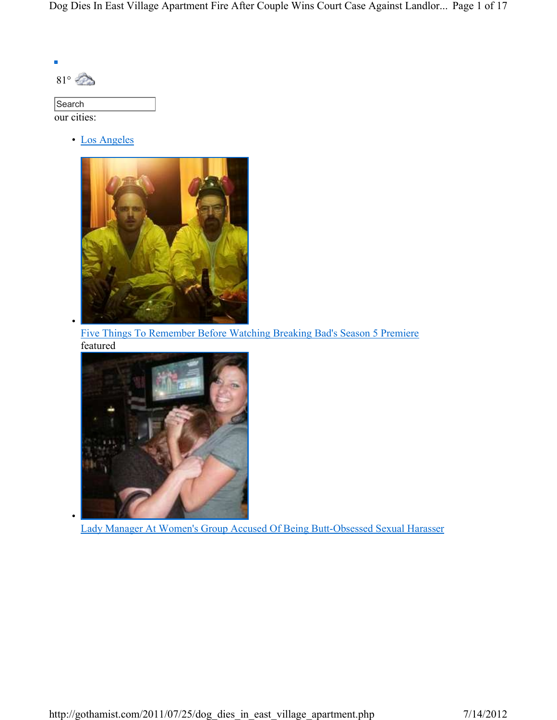Dog Dies In East Village Apartment Fire After Couple Wins Court Case Against Landlor... Page 1 of 17

| О<br>8 |  |
|--------|--|
|--------|--|

•

•

| Search      |  |
|-------------|--|
| our cities: |  |

• Los Angeles



Five Things To Remember Before Watching Breaking Bad's Season 5 Premiere featured



Lady Manager At Women's Group Accused Of Being Butt-Obsessed Sexual Harasser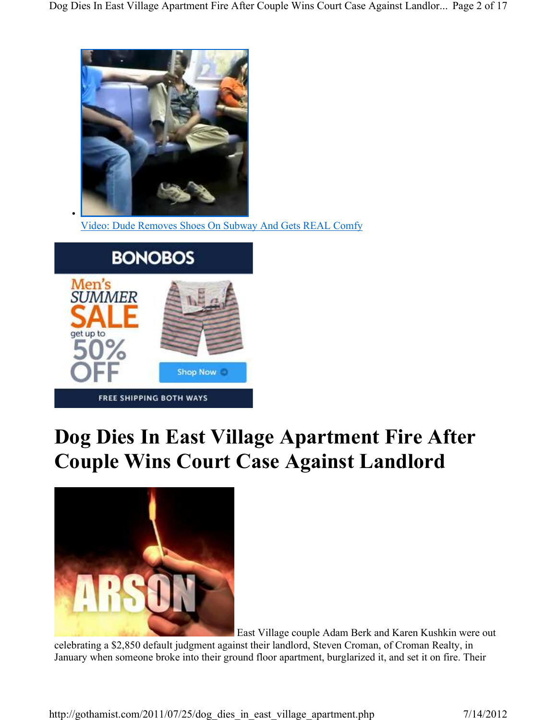

Video: Dude Removes Shoes On Subway And Gets REAL Comfy



•

## **Dog Dies In East Village Apartment Fire After Couple Wins Court Case Against Landlord**



East Village couple Adam Berk and Karen Kushkin were out

celebrating a \$2,850 default judgment against their landlord, Steven Croman, of Croman Realty, in January when someone broke into their ground floor apartment, burglarized it, and set it on fire. Their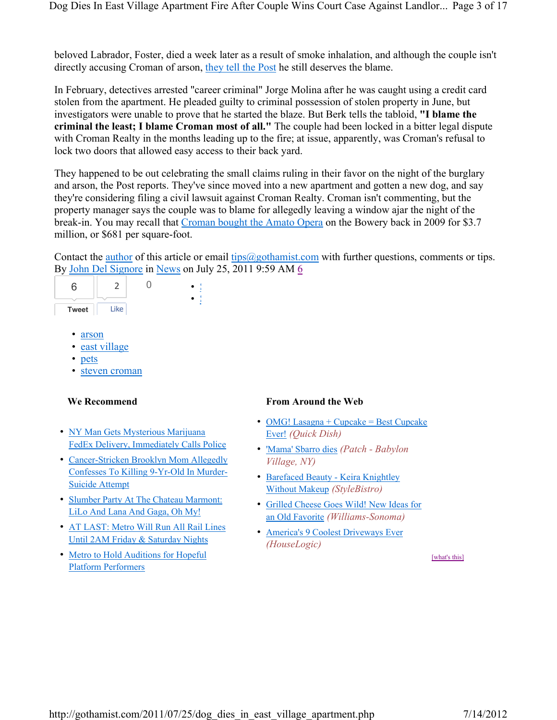beloved Labrador, Foster, died a week later as a result of smoke inhalation, and although the couple isn't directly accusing Croman of arson, they tell the Post he still deserves the blame.

In February, detectives arrested "career criminal" Jorge Molina after he was caught using a credit card stolen from the apartment. He pleaded guilty to criminal possession of stolen property in June, but investigators were unable to prove that he started the blaze. But Berk tells the tabloid, **"I blame the criminal the least; I blame Croman most of all."** The couple had been locked in a bitter legal dispute with Croman Realty in the months leading up to the fire; at issue, apparently, was Croman's refusal to lock two doors that allowed easy access to their back yard.

They happened to be out celebrating the small claims ruling in their favor on the night of the burglary and arson, the Post reports. They've since moved into a new apartment and gotten a new dog, and say they're considering filing a civil lawsuit against Croman Realty. Croman isn't commenting, but the property manager says the couple was to blame for allegedly leaving a window ajar the night of the break-in. You may recall that Croman bought the Amato Opera on the Bowery back in 2009 for \$3.7 million, or \$681 per square-foot.

Contact the author of this article or email tips $@$ gothamist.com with further questions, comments or tips. By John Del Signore in News on July 25, 2011 9:59 AM 6

| c            | ∽    |  |  |
|--------------|------|--|--|
|              |      |  |  |
| <b>Tweet</b> | Like |  |  |

- arson
- east village
- pets
- steven croman

- NY Man Gets Mysterious Marijuana FedEx Delivery, Immediately Calls Police
- Cancer-Stricken Brooklyn Mom Allegedly Confesses To Killing 9-Yr-Old In Murder-Suicide Attempt
- Slumber Party At The Chateau Marmont: LiLo And Lana And Gaga, Oh My!
- AT LAST: Metro Will Run All Rail Lines Until 2AM Friday & Saturday Nights
- Metro to Hold Auditions for Hopeful Platform Performers

### **We Recommend From Around the Web**

- OMG! Lasagna + Cupcake = Best Cupcake Ever! *(Quick Dish)*
- 'Mama' Sbarro dies *(Patch Babylon Village, NY)*
- Barefaced Beauty Keira Knightley Without Makeup *(StyleBistro)*
- Grilled Cheese Goes Wild! New Ideas for an Old Favorite *(Williams-Sonoma)*
- America's 9 Coolest Driveways Ever *(HouseLogic)*

[what's this]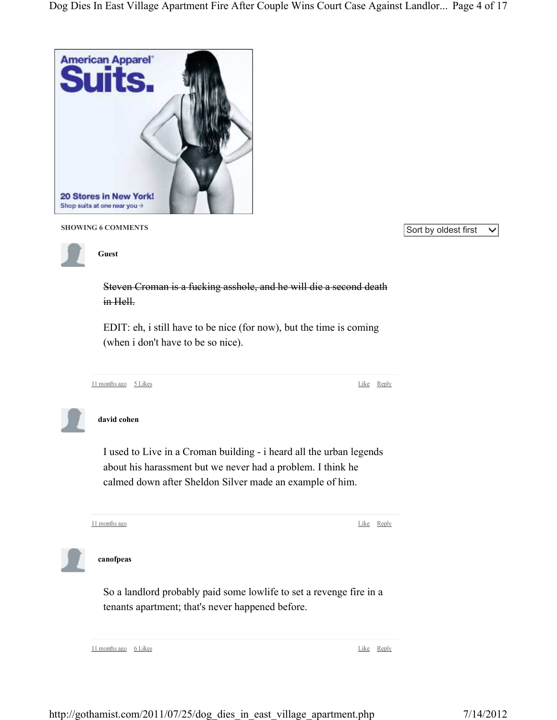

**SHOWING 6 COMMENTS** SHOWING 6 COMMENTS



**Guest**

Steven Croman is a fucking asshole, and he will die a second death in Hell.

EDIT: eh, i still have to be nice (for now), but the time is coming (when i don't have to be so nice).

```
11 months ago 5 Likes
```
Like Reply

**david cohen**

I used to Live in a Croman building - i heard all the urban legends about his harassment but we never had a problem. I think he calmed down after Sheldon Silver made an example of him.

11 months ago

Like Reply



**canofpeas**

So a landlord probably paid some lowlife to set a revenge fire in a tenants apartment; that's never happened before.

11 months ago 6 Likes

Like Reply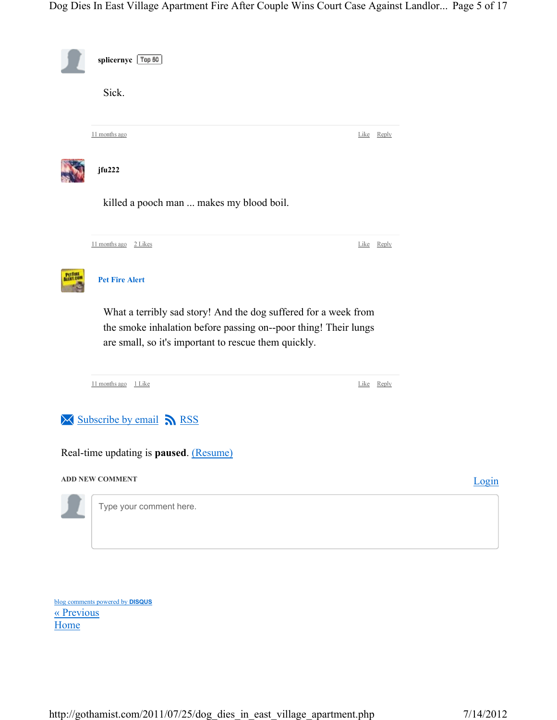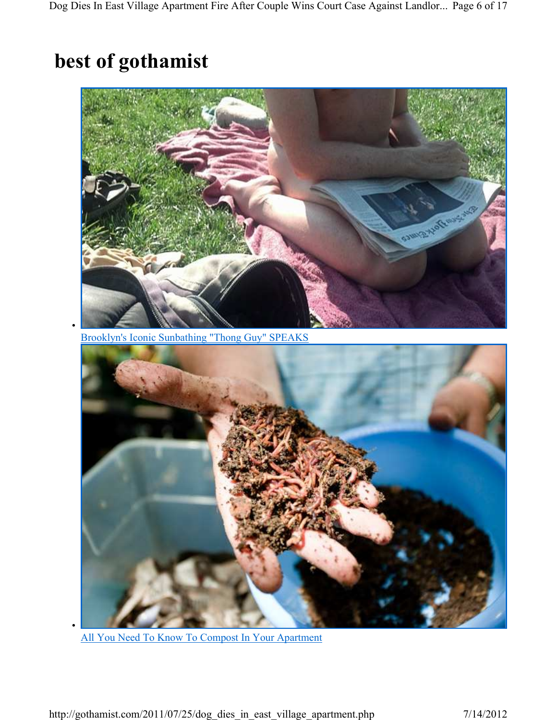# **best of gothamist**



Brooklyn's Iconic Sunbathing "Thong Guy" SPEAKS



All You Need To Know To Compost In Your Apartment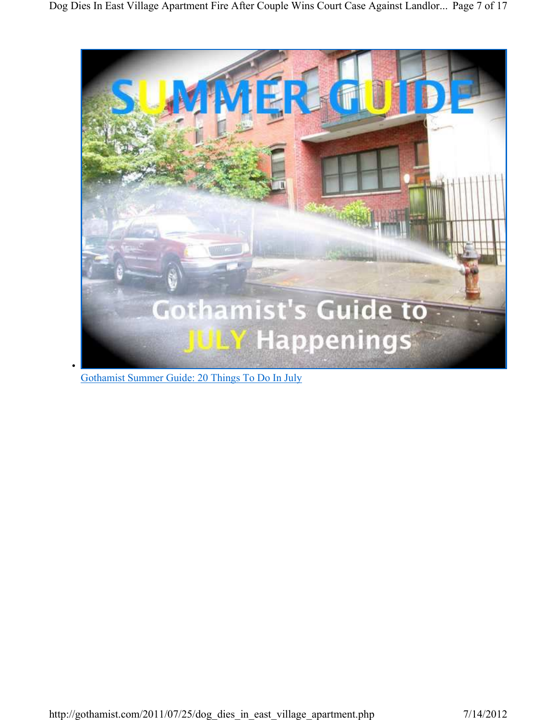

Gothamist Summer Guide: 20 Things To Do In July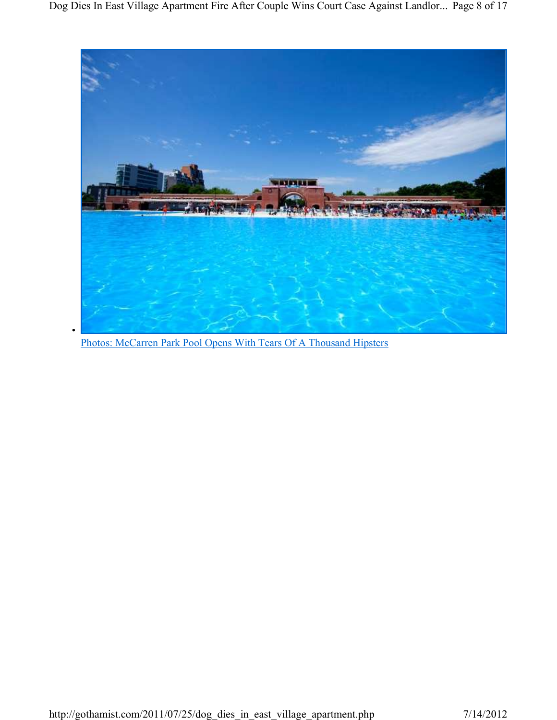

Photos: McCarren Park Pool Opens With Tears Of A Thousand Hipsters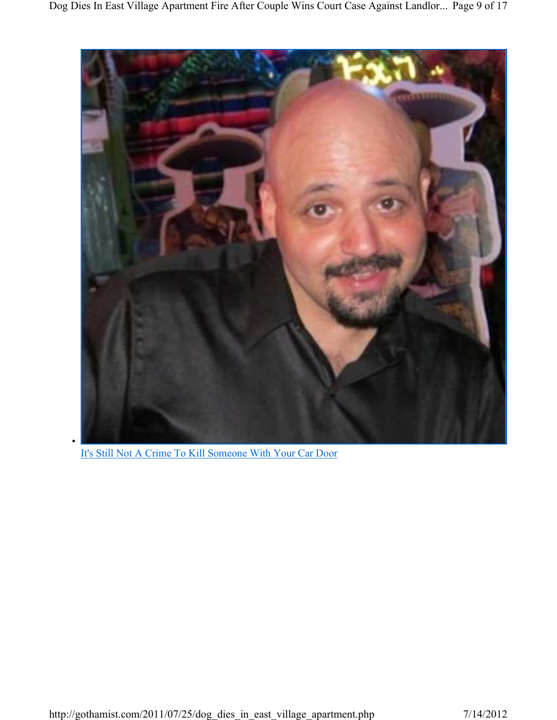

It's Still Not A Crime To Kill Someone With Your Car Door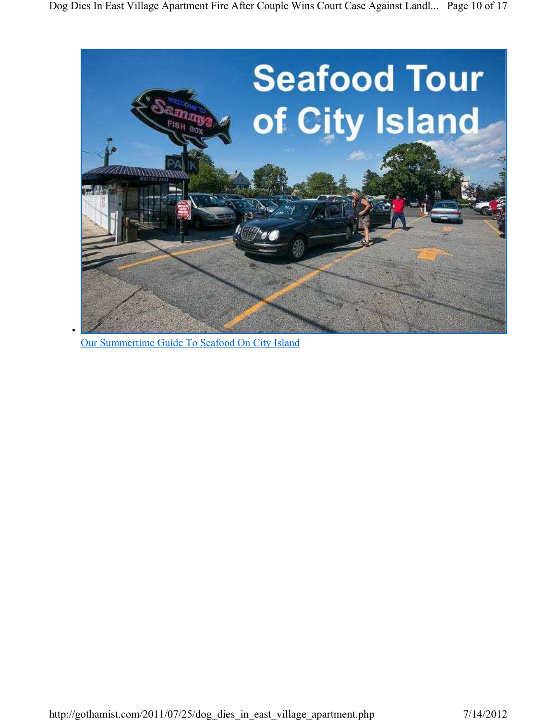

Our Summertime Guide To Seafood On City Island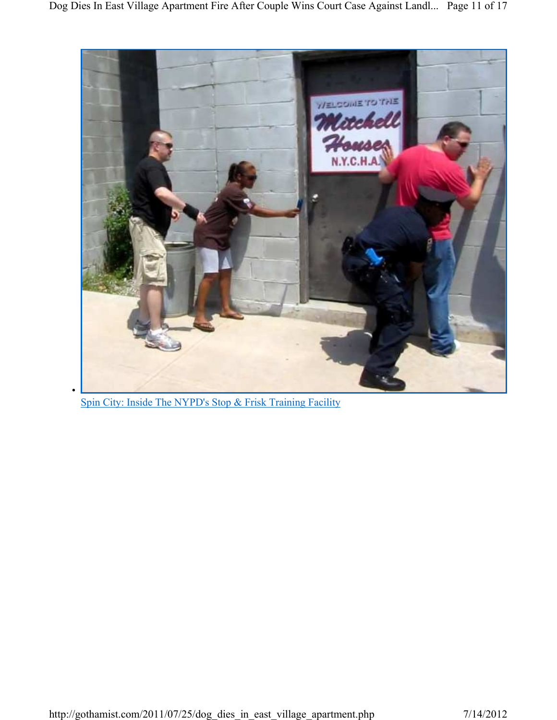

Spin City: Inside The NYPD's Stop & Frisk Training Facility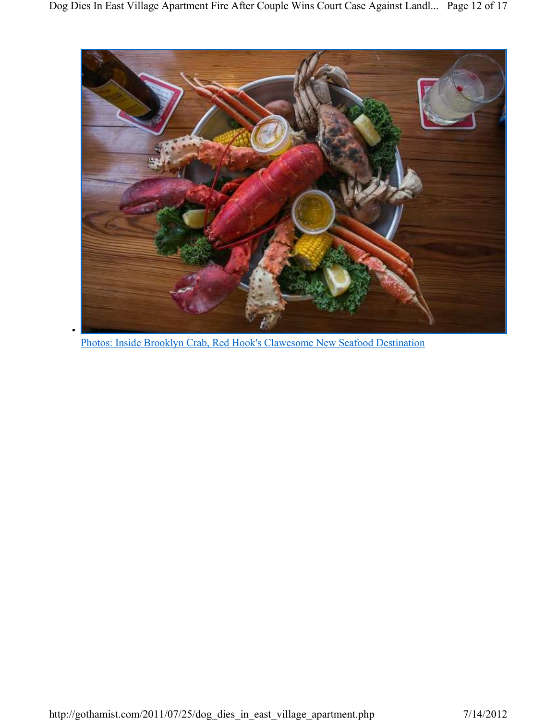

Photos: Inside Brooklyn Crab, Red Hook's Clawesome New Seafood Destination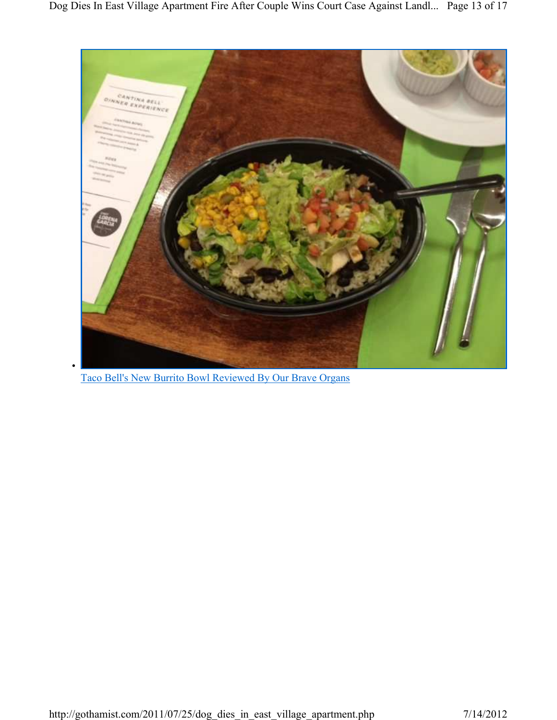

Taco Bell's New Burrito Bowl Reviewed By Our Brave Organs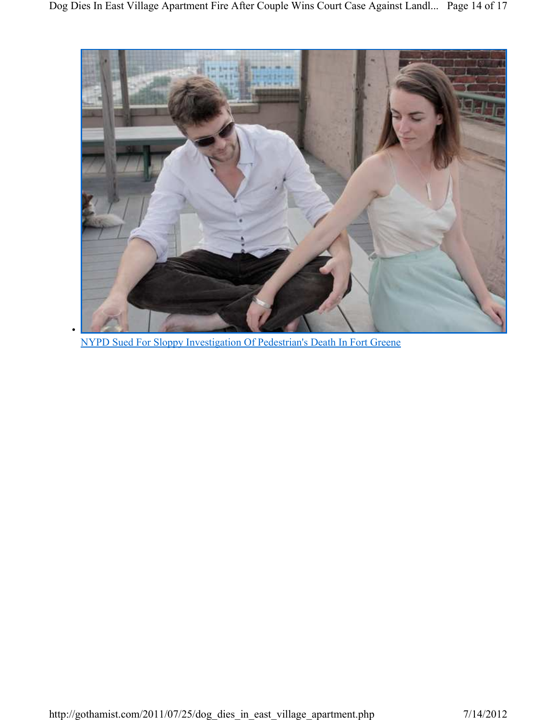

NYPD Sued For Sloppy Investigation Of Pedestrian's Death In Fort Greene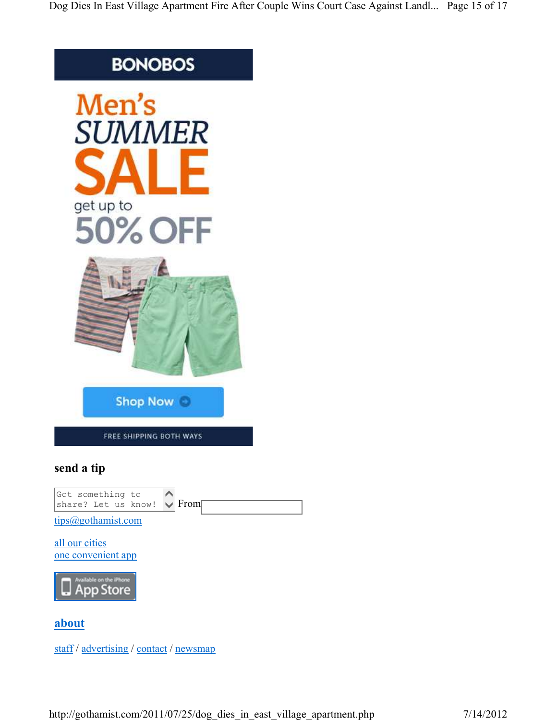## **BONOBOS**



staff / advertising / contact / newsmap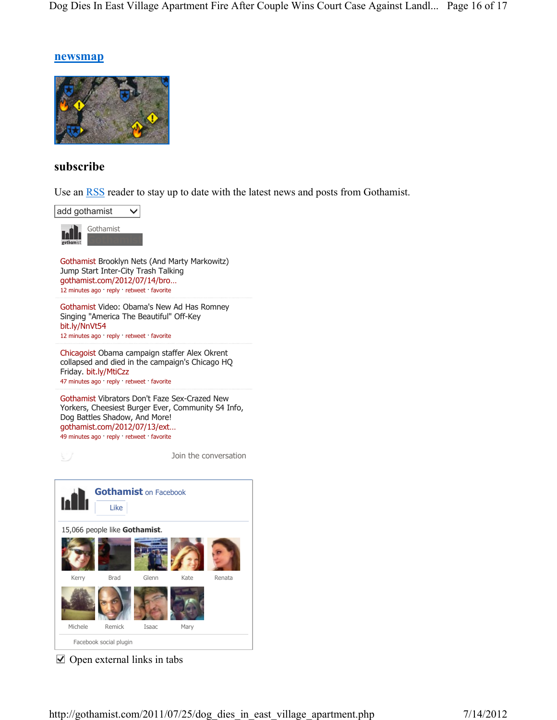### **newsmap**



## **subscribe**

Use an RSS reader to stay up to date with the latest news and posts from Gothamist.



Gothamist Brooklyn Nets (And Marty Markowitz) Jump Start Inter-City Trash Talking gothamist.com/2012/07/14/bro… 12 minutes ago · reply · retweet · favorite

Gothamist Video: Obama's New Ad Has Romney Singing "America The Beautiful" Off-Key bit.ly/NnVt54 12 minutes ago · reply · retweet · favorite

Chicagoist Obama campaign staffer Alex Okrent collapsed and died in the campaign's Chicago HQ Friday. bit.ly/MtiCzz 47 minutes ago · reply · retweet · favorite

Gothamist Vibrators Don't Faze Sex-Crazed New Yorkers, Cheesiest Burger Ever, Community S4 Info, Dog Battles Shadow, And More! gothamist.com/2012/07/13/ext… 49 minutes ago · reply · retweet · favorite

Join the conversation



 $\vee$  Open external links in tabs